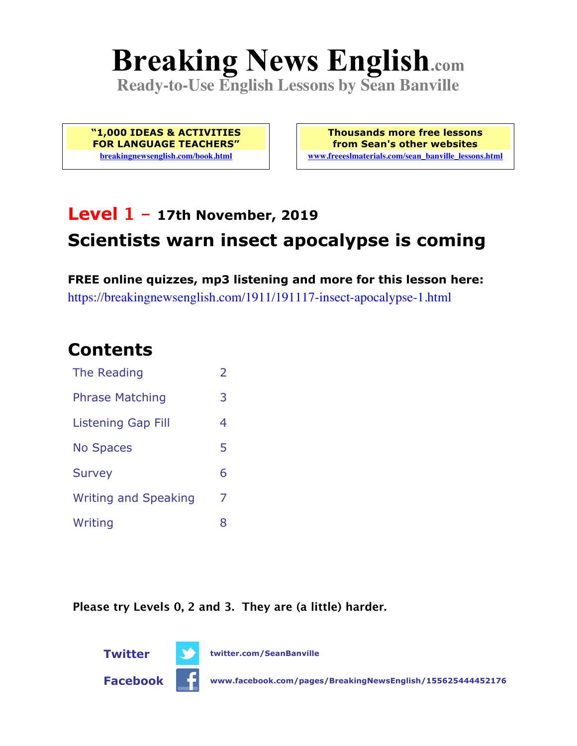# **Breaking News English.com**

**Ready-to-Use English Lessons by Sean Banville**

**"1,000 IDEAS & ACTIVITIES FOR LANGUAGE TEACHERS" breakingnewsenglish.com/book.html**

**Thousands more free lessons from Sean's other websites www.freeeslmaterials.com/sean\_banville\_lessons.html**

# **Level 1 - 17th November, 2019 Scientists warn insect apocalypse is coming**

**FREE online quizzes, mp3 listening and more for this lesson here:** https://breakingnewsenglish.com/1911/191117-insect-apocalypse-1.html

#### **Contents**

| The Reading                 | $\overline{\phantom{a}}$ |
|-----------------------------|--------------------------|
| <b>Phrase Matching</b>      | 3                        |
| Listening Gap Fill          | 4                        |
| <b>No Spaces</b>            | 5                        |
| <b>Survey</b>               | 6                        |
| <b>Writing and Speaking</b> | 7                        |
| Writing                     | 8                        |

**Please try Levels 0, 2 and 3. They are (a little) harder.**



**Twitter twitter.com/SeanBanville**

**Facebook www.facebook.com/pages/BreakingNewsEnglish/155625444452176**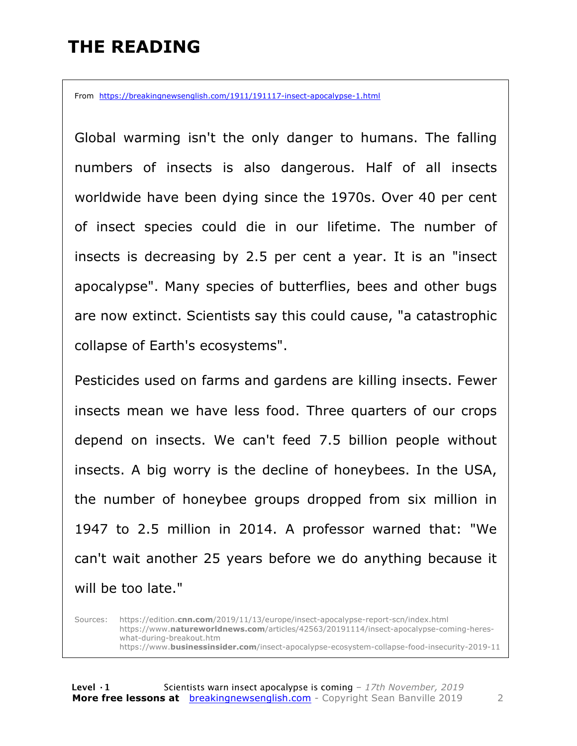## **THE READING**

From https://breakingnewsenglish.com/1911/191117-insect-apocalypse-1.html

Global warming isn't the only danger to humans. The falling numbers of insects is also dangerous. Half of all insects worldwide have been dying since the 1970s. Over 40 per cent of insect species could die in our lifetime. The number of insects is decreasing by 2.5 per cent a year. It is an "insect apocalypse". Many species of butterflies, bees and other bugs are now extinct. Scientists say this could cause, "a catastrophic collapse of Earth's ecosystems".

Pesticides used on farms and gardens are killing insects. Fewer insects mean we have less food. Three quarters of our crops depend on insects. We can't feed 7.5 billion people without insects. A big worry is the decline of honeybees. In the USA, the number of honeybee groups dropped from six million in 1947 to 2.5 million in 2014. A professor warned that: "We can't wait another 25 years before we do anything because it will be too late."

Sources: https://edition.**cnn.com**/2019/11/13/europe/insect-apocalypse-report-scn/index.html https://www.**natureworldnews.com**/articles/42563/20191114/insect-apocalypse-coming-hereswhat-during-breakout.htm https://www.**businessinsider.com**/insect-apocalypse-ecosystem-collapse-food-insecurity-2019-11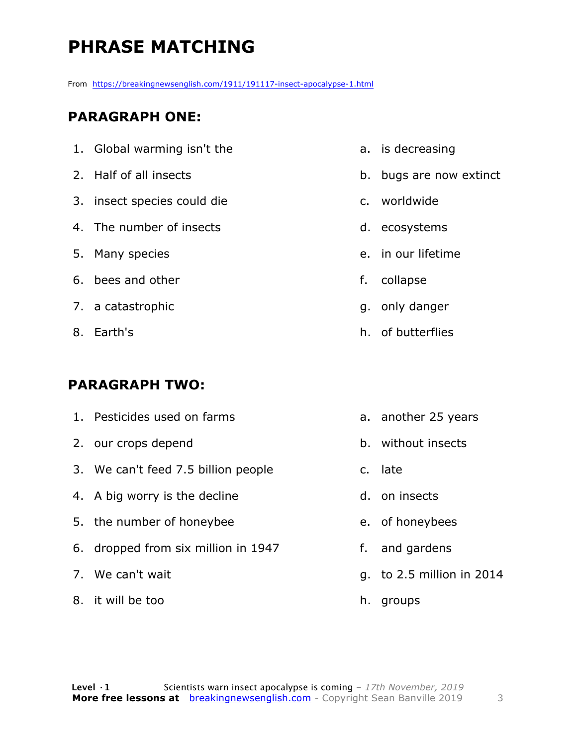# **PHRASE MATCHING**

From https://breakingnewsenglish.com/1911/191117-insect-apocalypse-1.html

#### **PARAGRAPH ONE:**

- 1. Global warming isn't the
- 2. Half of all insects
- 3. insect species could die
- 4. The number of insects
- 5. Many species
- 6. bees and other
- 7. a catastrophic
- 8. Earth's

#### **PARAGRAPH TWO:**

- 1. Pesticides used on farms
- 2. our crops depend
- 3. We can't feed 7.5 billion people
- 4. A big worry is the decline
- 5. the number of honeybee
- 6. dropped from six million in 1947
- 7. We can't wait
- 8. it will be too
- a. is decreasing
- b. bugs are now extinct
- c. worldwide
- d. ecosystems
- e. in our lifetime
- f. collapse
- g. only danger
- h. of butterflies
- a. another 25 years
- b. without insects
- c. late
- d. on insects
- e. of honeybees
- f. and gardens
- g. to 2.5 million in 2014
- h. groups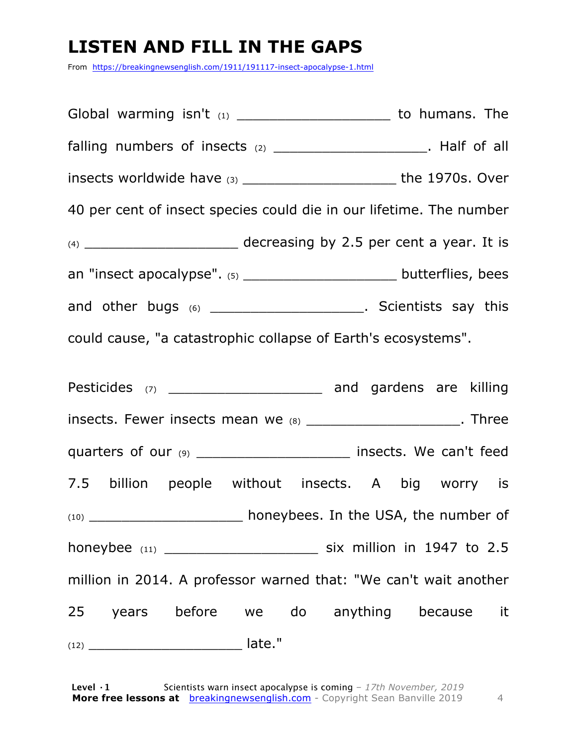# **LISTEN AND FILL IN THE GAPS**

From https://breakingnewsenglish.com/1911/191117-insect-apocalypse-1.html

Global warming isn't  $(1)$  and  $(2)$  contains to humans. The falling numbers of insects  $(2)$  \_\_\_\_\_\_\_\_\_\_\_\_\_\_\_\_\_\_\_\_\_\_\_. Half of all insects worldwide have (3) \_\_\_\_\_\_\_\_\_\_\_\_\_\_\_\_\_\_\_\_\_\_\_\_\_\_\_\_\_the 1970s. Over 40 per cent of insect species could die in our lifetime. The number  $(4)$  decreasing by 2.5 per cent a year. It is an "insect apocalypse". (5) \_\_\_\_\_\_\_\_\_\_\_\_\_\_\_\_\_\_\_\_\_\_\_ butterflies, bees and other bugs (6) \_\_\_\_\_\_\_\_\_\_\_\_\_\_\_\_\_\_\_\_\_\_\_. Scientists say this could cause, "a catastrophic collapse of Earth's ecosystems". Pesticides (7) \_\_\_\_\_\_\_\_\_\_\_\_\_\_\_\_\_\_\_\_\_\_\_ and gardens are killing insects. Fewer insects mean we (8) Three quarters of our (9) \_\_\_\_\_\_\_\_\_\_\_\_\_\_\_\_\_\_\_\_\_\_\_\_\_\_\_\_ insects. We can't feed 7.5 billion people without insects. A big worry is (10) **honeybees. In the USA, the number of** honeybee (11) \_\_\_\_\_\_\_\_\_\_\_\_\_\_\_\_\_\_\_ six million in 1947 to 2.5 million in 2014. A professor warned that: "We can't wait another 25 years before we do anything because it  $(12)$   $\qquad \qquad$  late."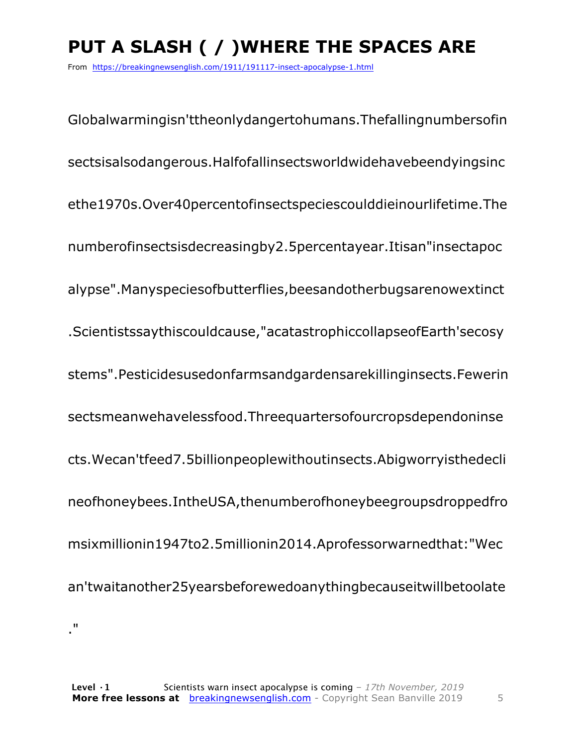# **PUT A SLASH ( / )WHERE THE SPACES ARE**

From https://breakingnewsenglish.com/1911/191117-insect-apocalypse-1.html

Globalwarmingisn'ttheonlydangertohumans.Thefallingnumbersofin sectsisalsodangerous.Halfofallinsectsworldwidehavebeendyingsinc ethe1970s.Over40percentofinsectspeciescoulddieinourlifetime.The numberofinsectsisdecreasingby2.5percentayear.Itisan"insectapoc alypse".Manyspeciesofbutterflies,beesandotherbugsarenowextinct .Scientistssaythiscouldcause,"acatastrophiccollapseofEarth'secosy stems".Pesticidesusedonfarmsandgardensarekillinginsects.Fewerin sectsmeanwehavelessfood.Threequartersofourcropsdependoninse cts.Wecan'tfeed7.5billionpeoplewithoutinsects.Abigworryisthedecli neofhoneybees.IntheUSA,thenumberofhoneybeegroupsdroppedfro msixmillionin1947to2.5millionin2014.Aprofessorwarnedthat:"Wec an'twaitanother25yearsbeforewedoanythingbecauseitwillbetoolate ."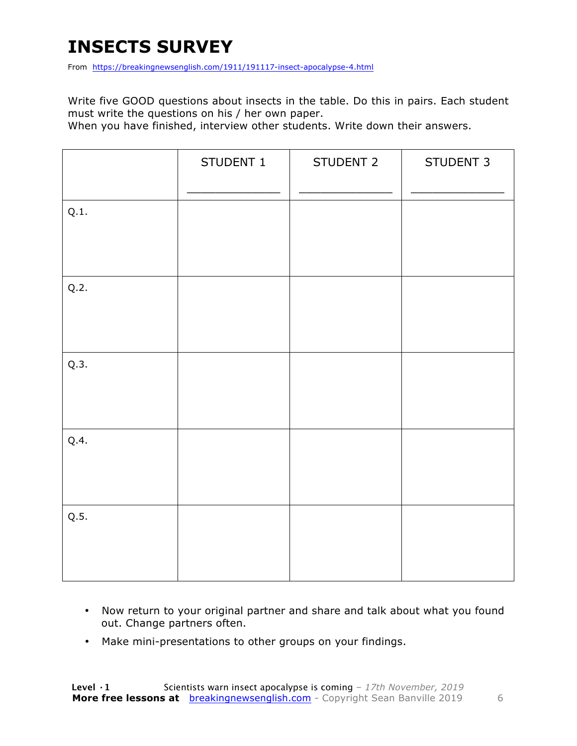## **INSECTS SURVEY**

From https://breakingnewsenglish.com/1911/191117-insect-apocalypse-4.html

Write five GOOD questions about insects in the table. Do this in pairs. Each student must write the questions on his / her own paper.

When you have finished, interview other students. Write down their answers.

|      | STUDENT 1 | STUDENT 2 | STUDENT 3 |
|------|-----------|-----------|-----------|
| Q.1. |           |           |           |
| Q.2. |           |           |           |
| Q.3. |           |           |           |
| Q.4. |           |           |           |
| Q.5. |           |           |           |

- Now return to your original partner and share and talk about what you found out. Change partners often.
- Make mini-presentations to other groups on your findings.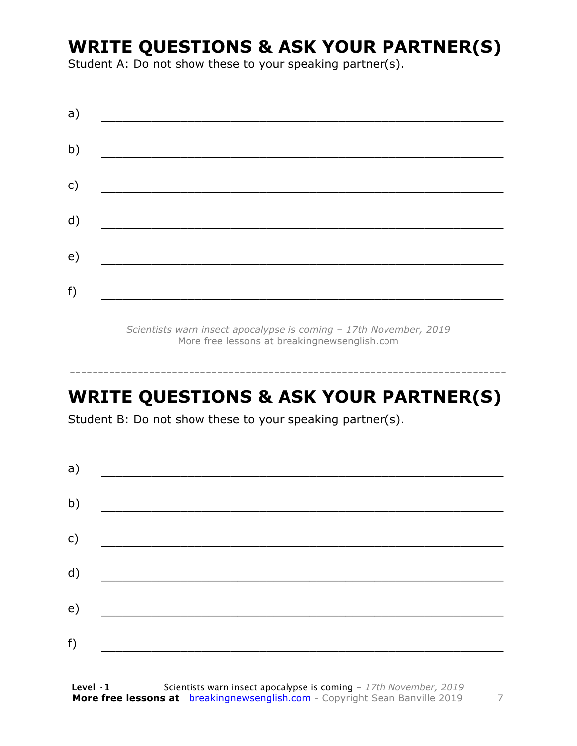## **WRITE QUESTIONS & ASK YOUR PARTNER(S)**

Student A: Do not show these to your speaking partner(s).

| a) |  |  |
|----|--|--|
| b) |  |  |
| c) |  |  |
| d) |  |  |
| e) |  |  |
| f) |  |  |
|    |  |  |

*Scientists warn insect apocalypse is coming – 17th November, 2019* More free lessons at breakingnewsenglish.com

#### **WRITE QUESTIONS & ASK YOUR PARTNER(S)**

-----------------------------------------------------------------------------

Student B: Do not show these to your speaking partner(s).

| a) |  |  |
|----|--|--|
| b) |  |  |
| c) |  |  |
| d) |  |  |
| e) |  |  |
|    |  |  |
| f) |  |  |